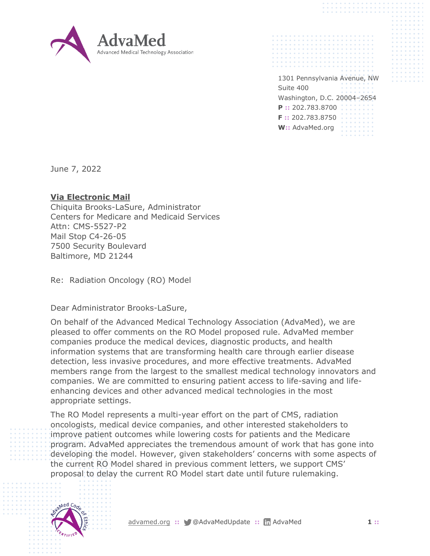

1301 Pennsylvania Avenue, NW Suite 400 Washington, D.C. 20004–2654 **P ::** 202.783.8700 **F ::** 202.783.8750 **W::** AdvaMed.org

June 7, 2022

## **Via Electronic Mail**

Chiquita Brooks-LaSure, Administrator Centers for Medicare and Medicaid Services Attn: CMS-5527-P2 Mail Stop C4-26-05 7500 Security Boulevard Baltimore, MD 21244

Re: Radiation Oncology (RO) Model

Dear Administrator Brooks-LaSure,

On behalf of the Advanced Medical Technology Association (AdvaMed), we are pleased to offer comments on the RO Model proposed rule. AdvaMed member companies produce the medical devices, diagnostic products, and health information systems that are transforming health care through earlier disease detection, less invasive procedures, and more effective treatments. AdvaMed members range from the largest to the smallest medical technology innovators and companies. We are committed to ensuring patient access to life-saving and lifeenhancing devices and other advanced medical technologies in the most appropriate settings.

The RO Model represents a multi-year effort on the part of CMS, radiation oncologists, medical device companies, and other interested stakeholders to improve patient outcomes while lowering costs for patients and the Medicare program. AdvaMed appreciates the tremendous amount of work that has gone into developing the model. However, given stakeholders' concerns with some aspects of the current RO Model shared in previous comment letters, we support CMS' proposal to delay the current RO Model start date until future rulemaking.